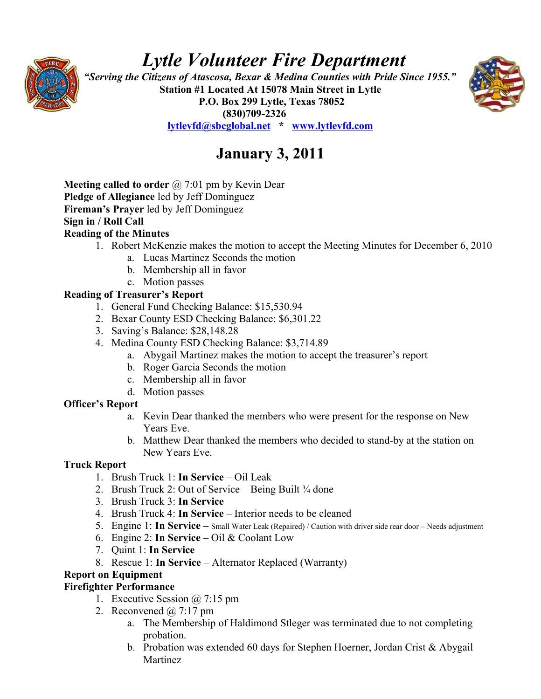

# *Lytle Volunteer Fire Department*

 *"Serving the Citizens of Atascosa, Bexar & Medina Counties with Pride Since 1955."*  **Station #1 Located At 15078 Main Street in Lytle P.O. Box 299 Lytle, Texas 78052 (830)709-2326 [lytlevfd@sbcglobal.net](mailto:lytlevfd@sbcglobal.net) \* [www.lytlevfd.com](http://www.lytlevfd.com/)**



## **January 3, 2011**

**Meeting called to order** @ 7:01 pm by Kevin Dear **Pledge of Allegiance** led by Jeff Dominguez **Fireman's Prayer** led by Jeff Dominguez **Sign in / Roll Call Reading of the Minutes**

- 1. Robert McKenzie makes the motion to accept the Meeting Minutes for December 6, 2010
	- a. Lucas Martinez Seconds the motion
	- b. Membership all in favor
	- c. Motion passes

#### **Reading of Treasurer's Report**

- 1. General Fund Checking Balance: \$15,530.94
- 2. Bexar County ESD Checking Balance: \$6,301.22
- 3. Saving's Balance: \$28,148.28
- 4. Medina County ESD Checking Balance: \$3,714.89
	- a. Abygail Martinez makes the motion to accept the treasurer's report
	- b. Roger Garcia Seconds the motion
	- c. Membership all in favor
	- d. Motion passes

### **Officer's Report**

- a. Kevin Dear thanked the members who were present for the response on New Years Eve.
- b. Matthew Dear thanked the members who decided to stand-by at the station on New Years Eve.

#### **Truck Report**

- 1. Brush Truck 1: **In Service**  Oil Leak
- 2. Brush Truck 2: Out of Service Being Built  $\frac{3}{4}$  done
- 3. Brush Truck 3: **In Service**
- 4. Brush Truck 4: **In Service**  Interior needs to be cleaned
- 5. Engine 1: **In Service** Small Water Leak (Repaired) / Caution with driver side rear door Needs adjustment
- 6. Engine 2: **In Service** Oil & Coolant Low
- 7. Quint 1: **In Service**
- 8. Rescue 1: **In Service**  Alternator Replaced (Warranty)

### **Report on Equipment**

### **Firefighter Performance**

- 1. Executive Session @ 7:15 pm
- 2. Reconvened  $\omega$  7:17 pm
	- a. The Membership of Haldimond Stleger was terminated due to not completing probation.
	- b. Probation was extended 60 days for Stephen Hoerner, Jordan Crist & Abygail **Martinez**